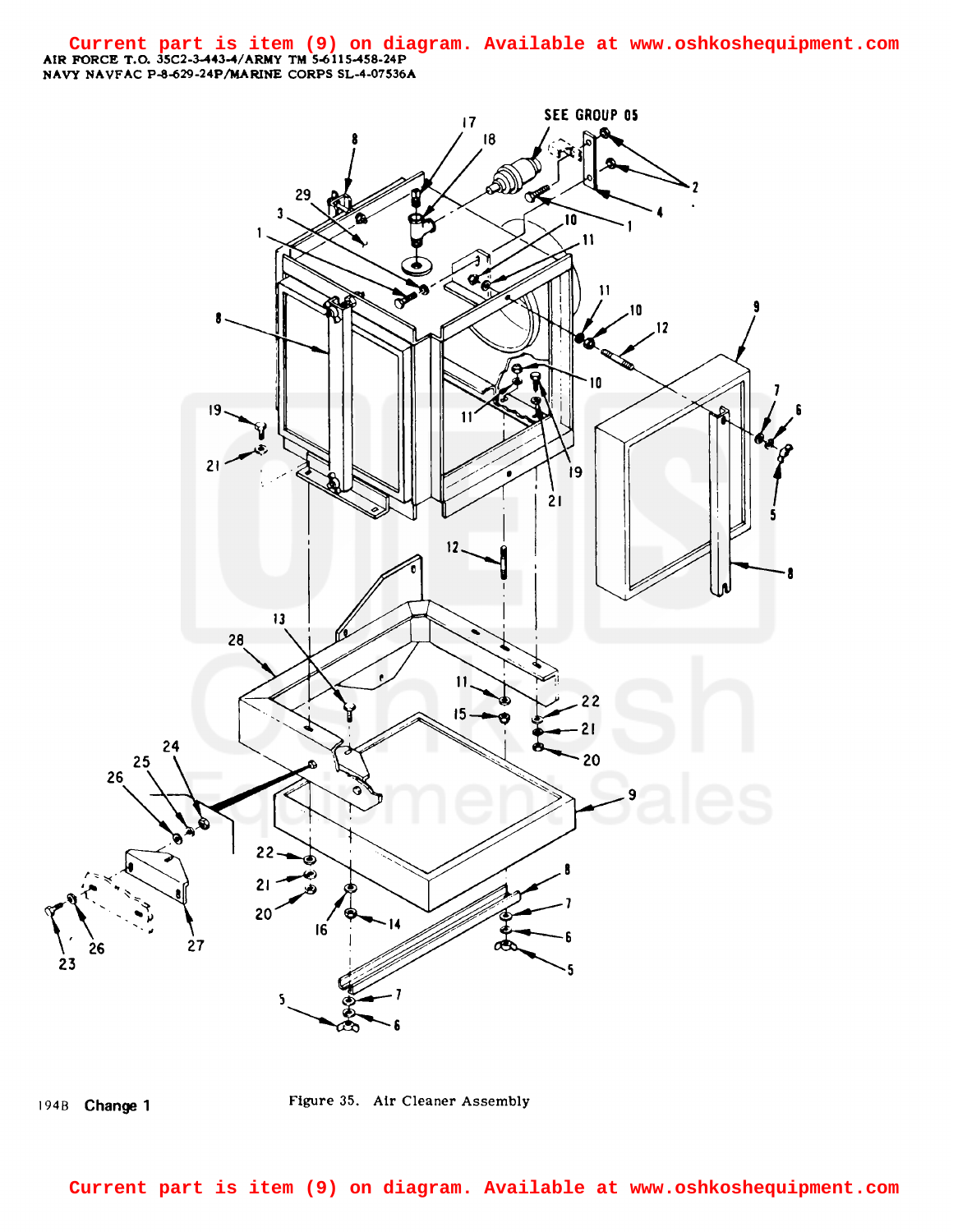AIR FORCE T.O. 3SC2-3-443-4/ARMY TM 5-6115-458-24P NAVY NAVFAC P-8-629-24P/MARINE CORPS SL-4-07536A **Current part is item (9) on diagram. Available at www.oshkoshequipment.com**



194B Change 1 Figure 35. Air Cleaner Assembly